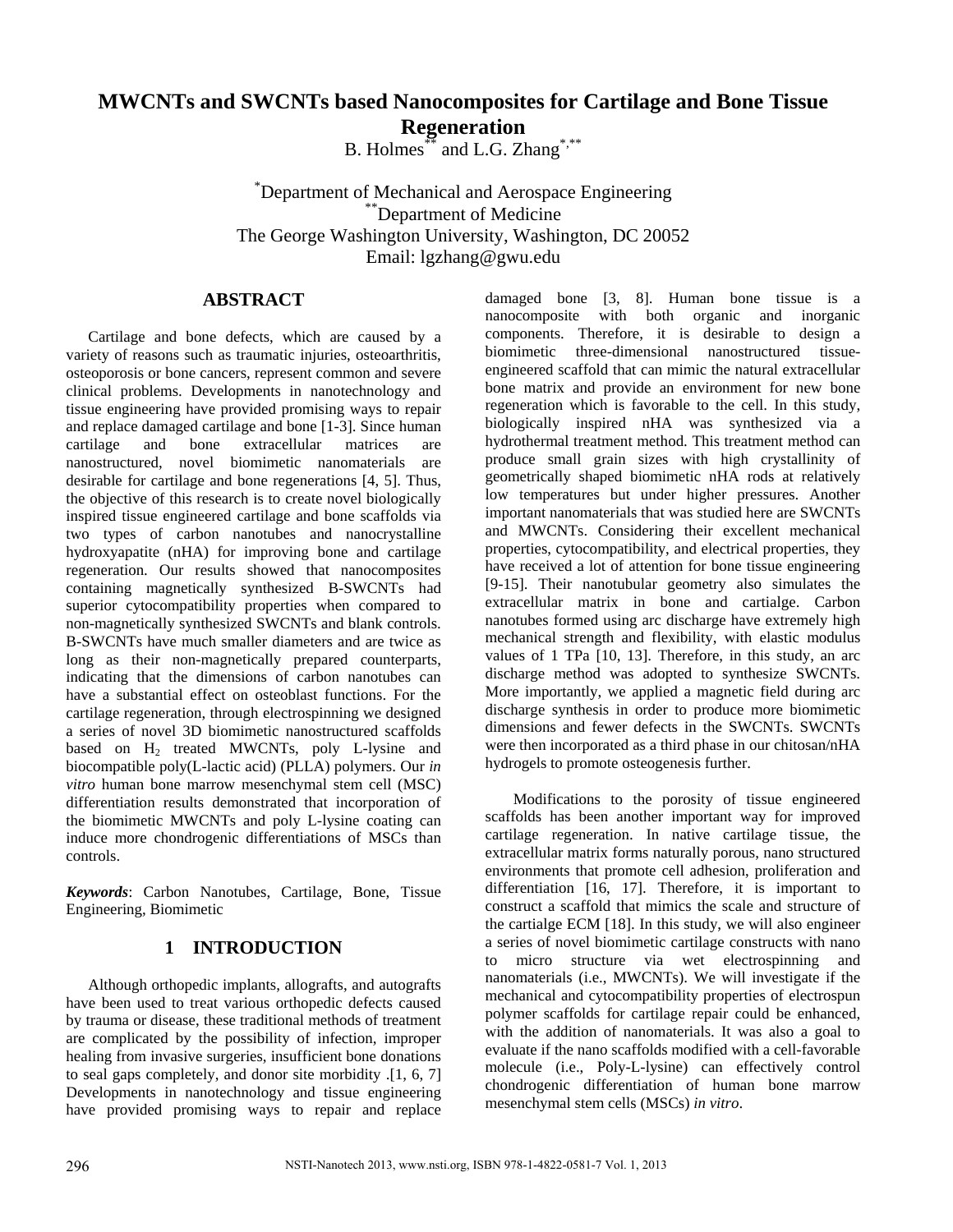# **MWCNTs and SWCNTs based Nanocomposites for Cartilage and Bone Tissue Regeneration**

B. Holmes\*\* and L.G. Zhang\*,\*\*

\* Department of Mechanical and Aerospace Engineering \*\*Department of Medicine The George Washington University, Washington, DC 20052 Email: lgzhang@gwu.edu

#### **ABSTRACT**

Cartilage and bone defects, which are caused by a variety of reasons such as traumatic injuries, osteoarthritis, osteoporosis or bone cancers, represent common and severe clinical problems. Developments in nanotechnology and tissue engineering have provided promising ways to repair and replace damaged cartilage and bone [1-3]. Since human cartilage and bone extracellular matrices are nanostructured, novel biomimetic nanomaterials are desirable for cartilage and bone regenerations [4, 5]. Thus, the objective of this research is to create novel biologically inspired tissue engineered cartilage and bone scaffolds via two types of carbon nanotubes and nanocrystalline hydroxyapatite (nHA) for improving bone and cartilage regeneration. Our results showed that nanocomposites containing magnetically synthesized B-SWCNTs had superior cytocompatibility properties when compared to non-magnetically synthesized SWCNTs and blank controls. B-SWCNTs have much smaller diameters and are twice as long as their non-magnetically prepared counterparts, indicating that the dimensions of carbon nanotubes can have a substantial effect on osteoblast functions. For the cartilage regeneration, through electrospinning we designed a series of novel 3D biomimetic nanostructured scaffolds based on H<sub>2</sub> treated MWCNTs, poly L-lysine and biocompatible poly(L-lactic acid) (PLLA) polymers. Our *in vitro* human bone marrow mesenchymal stem cell (MSC) differentiation results demonstrated that incorporation of the biomimetic MWCNTs and poly L-lysine coating can induce more chondrogenic differentiations of MSCs than controls.

*Keywords*: Carbon Nanotubes, Cartilage, Bone, Tissue Engineering, Biomimetic

# **1 INTRODUCTION**

Although orthopedic implants, allografts, and autografts have been used to treat various orthopedic defects caused by trauma or disease, these traditional methods of treatment are complicated by the possibility of infection, improper healing from invasive surgeries, insufficient bone donations to seal gaps completely, and donor site morbidity .[1, 6, 7] Developments in nanotechnology and tissue engineering have provided promising ways to repair and replace

damaged bone [3, 8]. Human bone tissue is a nanocomposite with both organic and inorganic components. Therefore, it is desirable to design a biomimetic three-dimensional nanostructured tissueengineered scaffold that can mimic the natural extracellular bone matrix and provide an environment for new bone regeneration which is favorable to the cell. In this study, biologically inspired nHA was synthesized via a hydrothermal treatment method. This treatment method can produce small grain sizes with high crystallinity of geometrically shaped biomimetic nHA rods at relatively low temperatures but under higher pressures. Another important nanomaterials that was studied here are SWCNTs and MWCNTs. Considering their excellent mechanical properties, cytocompatibility, and electrical properties, they have received a lot of attention for bone tissue engineering [9-15]. Their nanotubular geometry also simulates the extracellular matrix in bone and cartialge. Carbon nanotubes formed using arc discharge have extremely high mechanical strength and flexibility, with elastic modulus values of 1 TPa [10, 13]. Therefore, in this study, an arc discharge method was adopted to synthesize SWCNTs. More importantly, we applied a magnetic field during arc discharge synthesis in order to produce more biomimetic dimensions and fewer defects in the SWCNTs. SWCNTs were then incorporated as a third phase in our chitosan/nHA hydrogels to promote osteogenesis further.

Modifications to the porosity of tissue engineered scaffolds has been another important way for improved cartilage regeneration. In native cartilage tissue, the extracellular matrix forms naturally porous, nano structured environments that promote cell adhesion, proliferation and differentiation [16, 17]. Therefore, it is important to construct a scaffold that mimics the scale and structure of the cartialge ECM [18]. In this study, we will also engineer a series of novel biomimetic cartilage constructs with nano to micro structure via wet electrospinning and nanomaterials (i.e., MWCNTs). We will investigate if the mechanical and cytocompatibility properties of electrospun polymer scaffolds for cartilage repair could be enhanced, with the addition of nanomaterials. It was also a goal to evaluate if the nano scaffolds modified with a cell-favorable molecule (i.e., Poly-L-lysine) can effectively control chondrogenic differentiation of human bone marrow mesenchymal stem cells (MSCs) *in vitro*.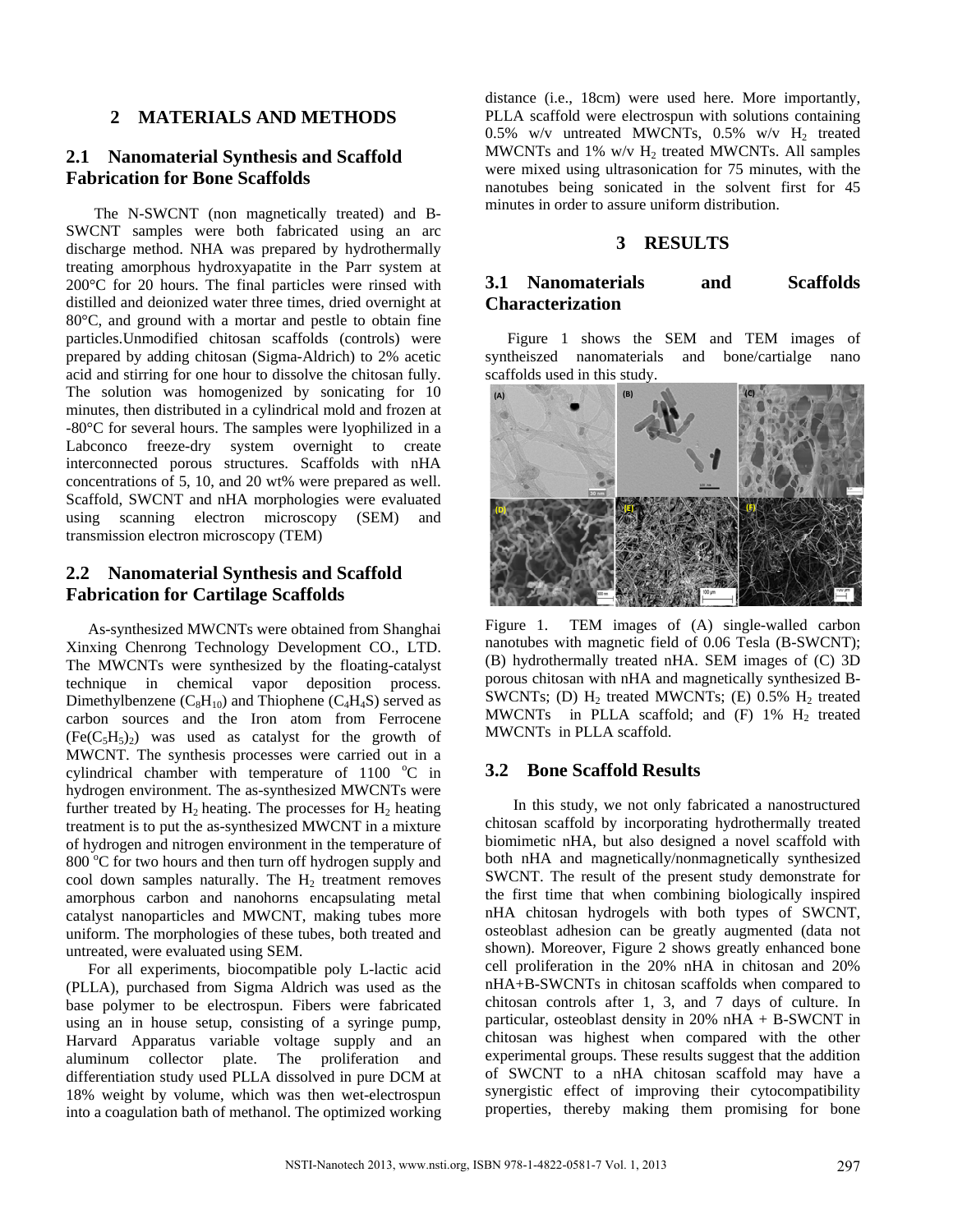## **2 MATERIALS AND METHODS**

## **2.1 Nanomaterial Synthesis and Scaffold Fabrication for Bone Scaffolds**

The N-SWCNT (non magnetically treated) and B-SWCNT samples were both fabricated using an arc discharge method. NHA was prepared by hydrothermally treating amorphous hydroxyapatite in the Parr system at 200°C for 20 hours. The final particles were rinsed with distilled and deionized water three times, dried overnight at 80°C, and ground with a mortar and pestle to obtain fine particles.Unmodified chitosan scaffolds (controls) were prepared by adding chitosan (Sigma-Aldrich) to 2% acetic acid and stirring for one hour to dissolve the chitosan fully. The solution was homogenized by sonicating for 10 minutes, then distributed in a cylindrical mold and frozen at -80°C for several hours. The samples were lyophilized in a Labconco freeze-dry system overnight to create interconnected porous structures. Scaffolds with nHA concentrations of 5, 10, and 20 wt% were prepared as well. Scaffold, SWCNT and nHA morphologies were evaluated using scanning electron microscopy (SEM) and transmission electron microscopy (TEM)

# **2.2 Nanomaterial Synthesis and Scaffold Fabrication for Cartilage Scaffolds**

As-synthesized MWCNTs were obtained from Shanghai Xinxing Chenrong Technology Development CO., LTD. The MWCNTs were synthesized by the floating-catalyst technique in chemical vapor deposition process. Dimethylbenzene  $(C_8H_{10})$  and Thiophene  $(C_4H_4S)$  served as carbon sources and the Iron atom from Ferrocene  $(Fe(C<sub>5</sub>H<sub>5</sub>)<sub>2</sub>)$  was used as catalyst for the growth of MWCNT. The synthesis processes were carried out in a cylindrical chamber with temperature of  $1100$  °C in hydrogen environment. The as-synthesized MWCNTs were further treated by  $H_2$  heating. The processes for  $H_2$  heating treatment is to put the as-synthesized MWCNT in a mixture of hydrogen and nitrogen environment in the temperature of 800 °C for two hours and then turn off hydrogen supply and cool down samples naturally. The  $H_2$  treatment removes amorphous carbon and nanohorns encapsulating metal catalyst nanoparticles and MWCNT, making tubes more uniform. The morphologies of these tubes, both treated and untreated, were evaluated using SEM.

For all experiments, biocompatible poly L-lactic acid (PLLA), purchased from Sigma Aldrich was used as the base polymer to be electrospun. Fibers were fabricated using an in house setup, consisting of a syringe pump, Harvard Apparatus variable voltage supply and an aluminum collector plate. The proliferation and differentiation study used PLLA dissolved in pure DCM at 18% weight by volume, which was then wet-electrospun into a coagulation bath of methanol. The optimized working

distance (i.e., 18cm) were used here. More importantly, PLLA scaffold were electrospun with solutions containing  $0.5\%$  w/v untreated MWCNTs,  $0.5\%$  w/v H<sub>2</sub> treated MWCNTs and  $1\%$  w/v  $H_2$  treated MWCNTs. All samples were mixed using ultrasonication for 75 minutes, with the nanotubes being sonicated in the solvent first for 45 minutes in order to assure uniform distribution.

## **3 RESULTS**

# **3.1 Nanomaterials and Scaffolds Characterization**

Figure 1 shows the SEM and TEM images of syntheiszed nanomaterials and bone/cartialge nano scaffolds used in this study.



Figure 1. TEM images of (A) single-walled carbon nanotubes with magnetic field of 0.06 Tesla (B-SWCNT); (B) hydrothermally treated nHA. SEM images of (C) 3D porous chitosan with nHA and magnetically synthesized B-SWCNTs; (D)  $H_2$  treated MWCNTs; (E) 0.5%  $H_2$  treated MWCNTs in PLLA scaffold; and  $(F)$  1%  $H_2$  treated MWCNTs in PLLA scaffold.

#### **3.2 Bone Scaffold Results**

In this study, we not only fabricated a nanostructured chitosan scaffold by incorporating hydrothermally treated biomimetic nHA, but also designed a novel scaffold with both nHA and magnetically/nonmagnetically synthesized SWCNT. The result of the present study demonstrate for the first time that when combining biologically inspired nHA chitosan hydrogels with both types of SWCNT, osteoblast adhesion can be greatly augmented (data not shown). Moreover, Figure 2 shows greatly enhanced bone cell proliferation in the 20% nHA in chitosan and 20% nHA+B-SWCNTs in chitosan scaffolds when compared to chitosan controls after 1, 3, and 7 days of culture. In particular, osteoblast density in 20% nHA + B-SWCNT in chitosan was highest when compared with the other experimental groups. These results suggest that the addition of SWCNT to a nHA chitosan scaffold may have a synergistic effect of improving their cytocompatibility properties, thereby making them promising for bone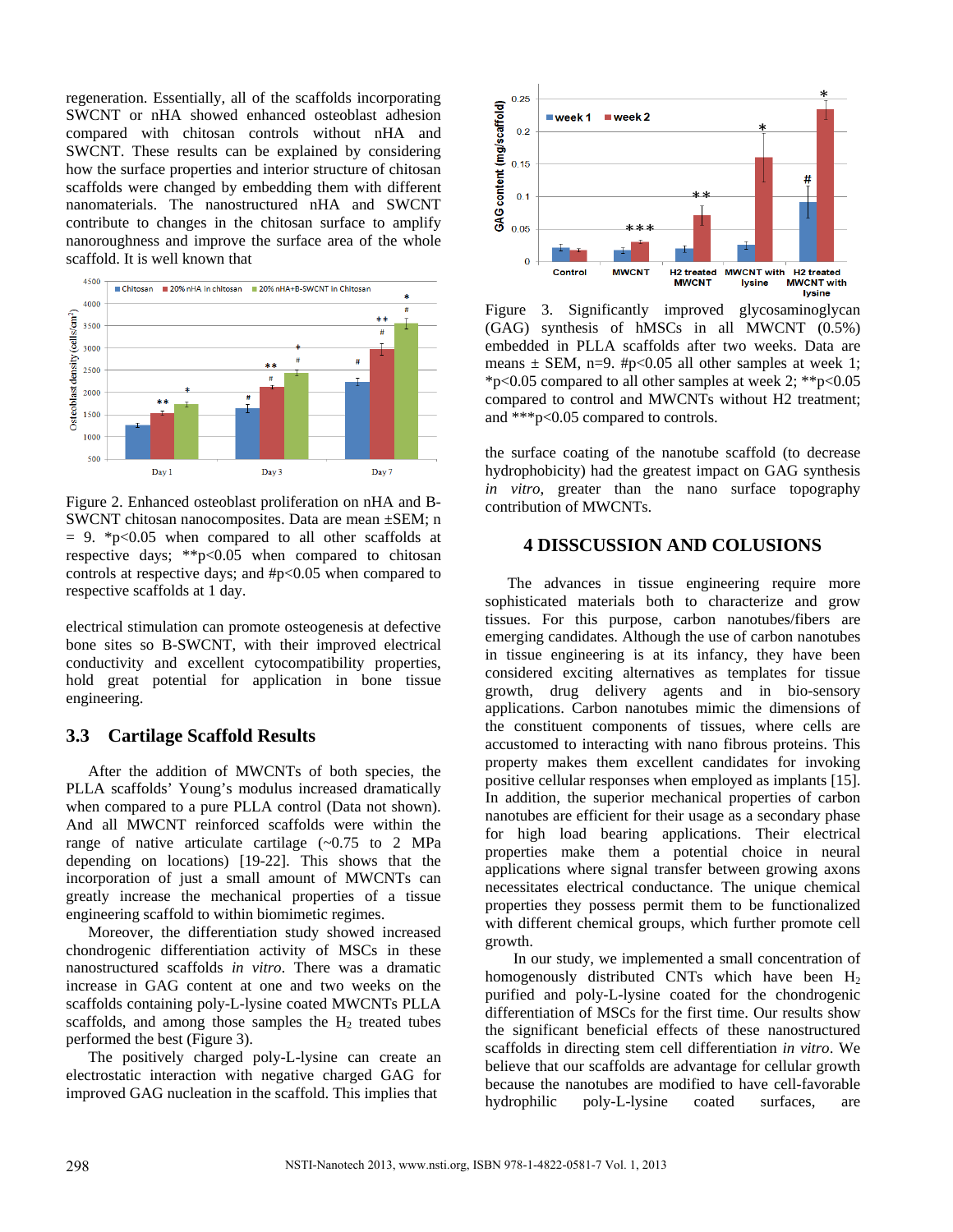regeneration. Essentially, all of the scaffolds incorporating SWCNT or nHA showed enhanced osteoblast adhesion compared with chitosan controls without nHA and SWCNT. These results can be explained by considering how the surface properties and interior structure of chitosan scaffolds were changed by embedding them with different nanomaterials. The nanostructured nHA and SWCNT contribute to changes in the chitosan surface to amplify nanoroughness and improve the surface area of the whole scaffold. It is well known that



Figure 2. Enhanced osteoblast proliferation on nHA and B-SWCNT chitosan nanocomposites. Data are mean ±SEM; n  $= 9.$  \*p<0.05 when compared to all other scaffolds at respective days; \*\*p<0.05 when compared to chitosan controls at respective days; and #p<0.05 when compared to respective scaffolds at 1 day.

electrical stimulation can promote osteogenesis at defective bone sites so B-SWCNT, with their improved electrical conductivity and excellent cytocompatibility properties, hold great potential for application in bone tissue engineering.

#### **3.3 Cartilage Scaffold Results**

After the addition of MWCNTs of both species, the PLLA scaffolds' Young's modulus increased dramatically when compared to a pure PLLA control (Data not shown). And all MWCNT reinforced scaffolds were within the range of native articulate cartilage  $(-0.75)$  to 2 MPa depending on locations) [19-22]. This shows that the incorporation of just a small amount of MWCNTs can greatly increase the mechanical properties of a tissue engineering scaffold to within biomimetic regimes.

Moreover, the differentiation study showed increased chondrogenic differentiation activity of MSCs in these nanostructured scaffolds *in vitro*. There was a dramatic increase in GAG content at one and two weeks on the scaffolds containing poly-L-lysine coated MWCNTs PLLA scaffolds, and among those samples the  $H<sub>2</sub>$  treated tubes performed the best (Figure 3).

The positively charged poly-L-lysine can create an electrostatic interaction with negative charged GAG for improved GAG nucleation in the scaffold. This implies that



Figure 3. Significantly improved glycosaminoglycan (GAG) synthesis of hMSCs in all MWCNT (0.5%) embedded in PLLA scaffolds after two weeks. Data are means  $\pm$  SEM, n=9. #p<0.05 all other samples at week 1; \*p<0.05 compared to all other samples at week 2; \*\*p<0.05 compared to control and MWCNTs without H2 treatment; and \*\*\*p<0.05 compared to controls.

the surface coating of the nanotube scaffold (to decrease hydrophobicity) had the greatest impact on GAG synthesis *in vitro*, greater than the nano surface topography contribution of MWCNTs.

#### **4 DISSCUSSION AND COLUSIONS**

The advances in tissue engineering require more sophisticated materials both to characterize and grow tissues. For this purpose, carbon nanotubes/fibers are emerging candidates. Although the use of carbon nanotubes in tissue engineering is at its infancy, they have been considered exciting alternatives as templates for tissue growth, drug delivery agents and in bio-sensory applications. Carbon nanotubes mimic the dimensions of the constituent components of tissues, where cells are accustomed to interacting with nano fibrous proteins. This property makes them excellent candidates for invoking positive cellular responses when employed as implants [15]. In addition, the superior mechanical properties of carbon nanotubes are efficient for their usage as a secondary phase for high load bearing applications. Their electrical properties make them a potential choice in neural applications where signal transfer between growing axons necessitates electrical conductance. The unique chemical properties they possess permit them to be functionalized with different chemical groups, which further promote cell growth.

In our study, we implemented a small concentration of homogenously distributed CNTs which have been  $H_2$ purified and poly-L-lysine coated for the chondrogenic differentiation of MSCs for the first time. Our results show the significant beneficial effects of these nanostructured scaffolds in directing stem cell differentiation *in vitro*. We believe that our scaffolds are advantage for cellular growth because the nanotubes are modified to have cell-favorable hydrophilic poly-L-lysine coated surfaces, are